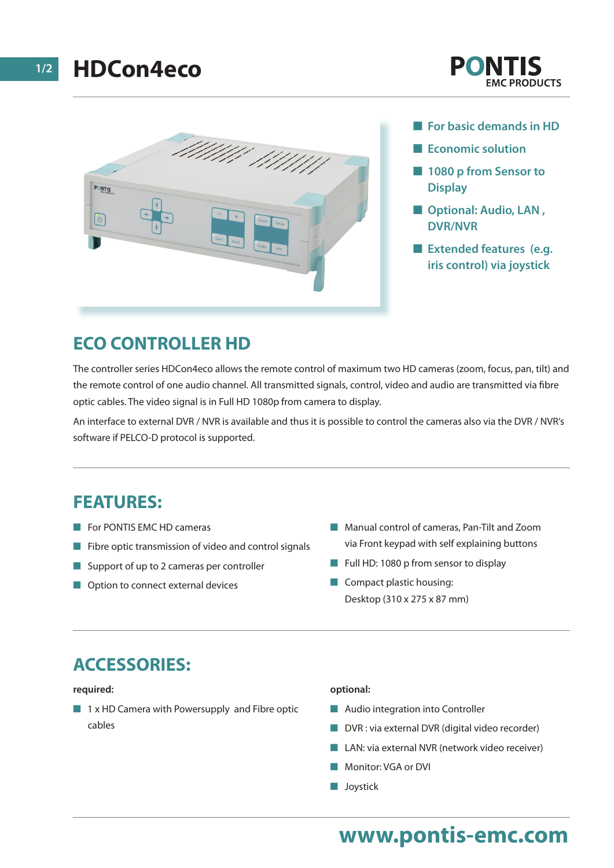



- **For basic demands in HD**
- **Expression** Economic solution
- $\blacksquare$  **1080 p from Sensor to Display**
- **n** Optional: Audio, LAN, **DVR/NVR**
- **Extended features (e.g. iris control) via joystick**

### **ECO CONTROLLER HD**

The controller series HDCon4eco allows the remote control of maximum two HD cameras (zoom, focus, pan, tilt) and the remote control of one audio channel. All transmitted signals, control, video and audio are transmitted via fibre optic cables. The video signal is in Full HD 1080p from camera to display.

An interface to external DVR / NVR is available and thus it is possible to control the cameras also via the DVR / NVR's software if PELCO-D protocol is supported.

### **FEATURES:**

- **n** For PONTIS EMC HD cameras
- $\blacksquare$  Fibre optic transmission of video and control signals
- $\blacksquare$  Support of up to 2 cameras per controller
- $\Box$  Option to connect external devices
- Manual control of cameras, Pan-Tilt and Zoom via Front keypad with self explaining buttons
- Full HD: 1080 p from sensor to display
- $\Box$  Compact plastic housing: Desktop (310 x 275 x 87 mm)

## **ACCESSORIES:**

#### **required:**

 $\blacksquare$  1 x HD Camera with Powersupply and Fibre optic cables

#### **optional:**

- $\blacksquare$  Audio integration into Controller
- $\blacksquare$  DVR : via external DVR (digital video recorder)
- LAN: via external NVR (network video receiver)
- **Nonitor: VGA or DVI**
- **n** Joystick

# **www.pontis-emc.com**